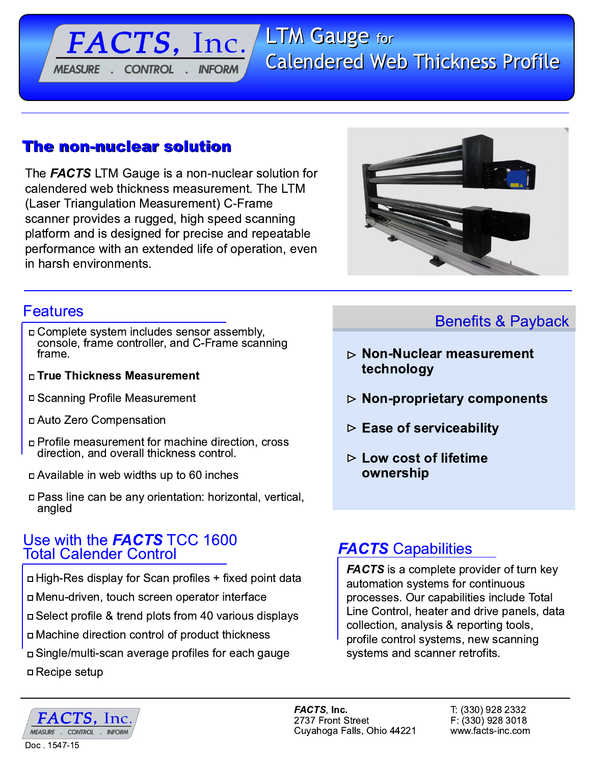# **LTM Gauge for Calendered Web Thickness Profile**

## The non-nuclear solution

**MEASURE** 

FACTS, Inc.

**INFORM** 

**CONTROL** 

The **FACTS** LTM Gauge is a non-nuclear solution for calendered web thickness measurement. The LTM (Laser Triangulation Measurement) C-Frame scanner provides a rugged, high speed scanning platform and is designed for precise and repeatable performance with an extended life of operation, even in harsh environments.



## **Features**

- n Complete system includes sensor assembly, console, frame controller, and C-Frame scanning frame.
- □ True Thickness Measurement
- □ Scanning Profile Measurement
- n Auto Zero Compensation
- n Profile measurement for machine direction, cross direction, and overall thickness control.
- p Available in web widths up to 60 inches
- □ Pass line can be any orientation: horizontal, vertical, angled

### Use with the **FACTS** TCC 1600 **Total Calender Control**

- □ High-Res display for Scan profiles + fixed point data n Menu-driven, touch screen operator interface □ Select profile & trend plots from 40 various displays
- n Machine direction control of product thickness
- □ Single/multi-scan average profiles for each gauge
- □ Recipe setup

# **Benefits & Payback**

- $\triangleright$  Non-Nuclear measurement technology
- $\triangleright$  Non-proprietary components
- $\triangleright$  Ease of serviceability
- $\triangleright$  Low cost of lifetime ownership

# **FACTS Capabilities**

**FACTS** is a complete provider of turn key automation systems for continuous processes. Our capabilities include Total Line Control, heater and drive panels, data collection, analysis & reporting tools, profile control systems, new scanning systems and scanner retrofits.



FACTS. Inc. 2737 Front Street Cuyahoga Falls, Ohio 44221